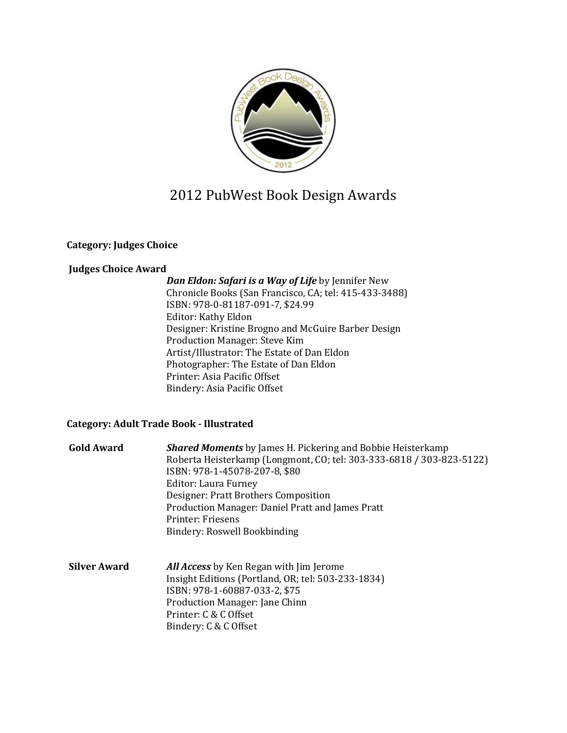

# 2012 PubWest Book Design Awards

### **Category: Judges Choice**

### **Judges Choice Award**

*Dan Eldon: Safari is a Way of Life* by Jennifer New Chronicle Books (San Francisco, CA; tel: 415-433-3488) ISBN: 978-0-81187-091-7, \$24.99 Editor: Kathy Eldon Designer: Kristine Brogno and McGuire Barber Design Production Manager: Steve Kim Artist/Illustrator: The Estate of Dan Eldon Photographer: The Estate of Dan Eldon Printer: Asia Pacific Offset Bindery: Asia Pacific Offset

### **Category: Adult Trade Book - Illustrated**

| <b>Gold Award</b>   | <b>Shared Moments</b> by James H. Pickering and Bobbie Heisterkamp<br>Roberta Heisterkamp (Longmont, CO; tel: 303-333-6818 / 303-823-5122)<br>ISBN: 978-1-45078-207-8, \$80<br><b>Editor: Laura Furney</b><br>Designer: Pratt Brothers Composition<br>Production Manager: Daniel Pratt and James Pratt<br>Printer: Friesens<br>Bindery: Roswell Bookbinding |
|---------------------|-------------------------------------------------------------------------------------------------------------------------------------------------------------------------------------------------------------------------------------------------------------------------------------------------------------------------------------------------------------|
| <b>Silver Award</b> | <b>All Access</b> by Ken Regan with Jim Jerome<br>Insight Editions (Portland, OR; tel: 503-233-1834)<br>ISBN: 978-1-60887-033-2, \$75<br>Production Manager: Jane Chinn<br>Printer: C & C Offset<br>Bindery: C & C Offset                                                                                                                                   |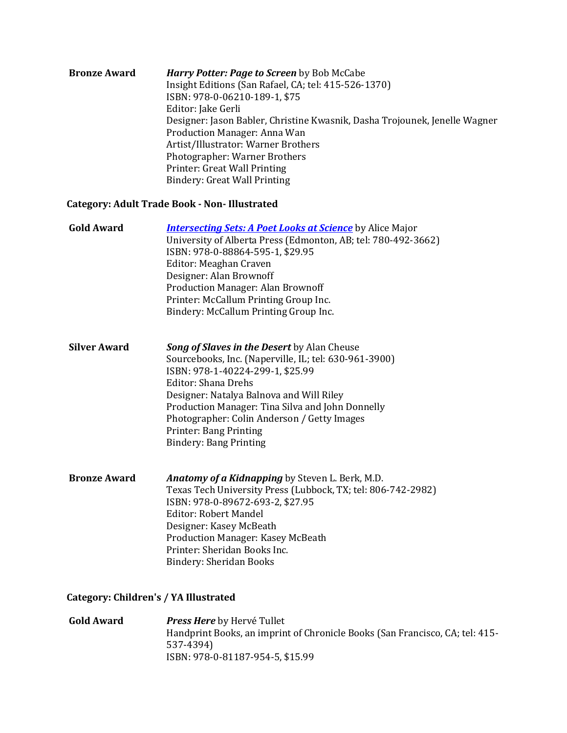| <b>Bronze Award</b> | Harry Potter: Page to Screen by Bob McCabe                                 |
|---------------------|----------------------------------------------------------------------------|
|                     | Insight Editions (San Rafael, CA; tel: 415-526-1370)                       |
|                     | ISBN: 978-0-06210-189-1, \$75                                              |
|                     | Editor: Jake Gerli                                                         |
|                     | Designer: Jason Babler, Christine Kwasnik, Dasha Trojounek, Jenelle Wagner |
|                     | Production Manager: Anna Wan                                               |
|                     | Artist/Illustrator: Warner Brothers                                        |
|                     | Photographer: Warner Brothers                                              |
|                     | Printer: Great Wall Printing                                               |
|                     | <b>Bindery: Great Wall Printing</b>                                        |

## **Category: Adult Trade Book - Non- Illustrated**

| <b>Gold Award</b>   | <b>Intersecting Sets: A Poet Looks at Science</b> by Alice Major<br>University of Alberta Press (Edmonton, AB; tel: 780-492-3662)<br>ISBN: 978-0-88864-595-1, \$29.95<br>Editor: Meaghan Craven<br>Designer: Alan Brownoff<br>Production Manager: Alan Brownoff<br>Printer: McCallum Printing Group Inc.<br>Bindery: McCallum Printing Group Inc.                                |
|---------------------|----------------------------------------------------------------------------------------------------------------------------------------------------------------------------------------------------------------------------------------------------------------------------------------------------------------------------------------------------------------------------------|
| <b>Silver Award</b> | <b>Song of Slaves in the Desert</b> by Alan Cheuse<br>Sourcebooks, Inc. (Naperville, IL; tel: 630-961-3900)<br>ISBN: 978-1-40224-299-1, \$25.99<br>Editor: Shana Drehs<br>Designer: Natalya Balnova and Will Riley<br>Production Manager: Tina Silva and John Donnelly<br>Photographer: Colin Anderson / Getty Images<br>Printer: Bang Printing<br><b>Bindery: Bang Printing</b> |
| <b>Bronze Award</b> | <b>Anatomy of a Kidnapping</b> by Steven L. Berk, M.D.<br>Texas Tech University Press (Lubbock, TX; tel: 806-742-2982)<br>ISBN: 978-0-89672-693-2, \$27.95<br>Editor: Robert Mandel<br>Designer: Kasey McBeath<br>Production Manager: Kasey McBeath<br>Printer: Sheridan Books Inc.                                                                                              |

Bindery: Sheridan Books

# **Category: Children's / YA Illustrated**

**Gold Award** *Press Here* by Hervé Tullet Handprint Books, an imprint of Chronicle Books (San Francisco, CA; tel: 415- 537-4394) ISBN: 978-0-81187-954-5, \$15.99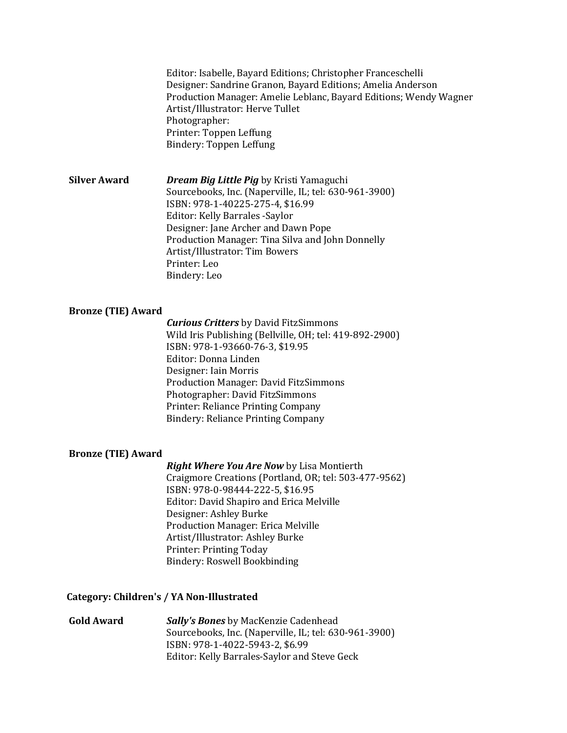Editor: Isabelle, Bayard Editions; Christopher Franceschelli Designer: Sandrine Granon, Bayard Editions; Amelia Anderson Production Manager: Amelie Leblanc, Bayard Editions; Wendy Wagner Artist/Illustrator: Herve Tullet Photographer: Printer: Toppen Leffung Bindery: Toppen Leffung

**Silver Award** *Dream Big Little Pig* by Kristi Yamaguchi Sourcebooks, Inc. (Naperville, IL; tel: 630-961-3900) ISBN: 978-1-40225-275-4, \$16.99 Editor: Kelly Barrales -Saylor Designer: Jane Archer and Dawn Pope Production Manager: Tina Silva and John Donnelly Artist/Illustrator: Tim Bowers Printer: Leo Bindery: Leo

#### **Bronze (TIE) Award**

*Curious Critters* by David FitzSimmons Wild Iris Publishing (Bellville, OH; tel: 419-892-2900) ISBN: 978-1-93660-76-3, \$19.95 Editor: Donna Linden Designer: Iain Morris Production Manager: David FitzSimmons Photographer: David FitzSimmons Printer: Reliance Printing Company Bindery: Reliance Printing Company

#### **Bronze (TIE) Award**

*Right Where You Are Now* by Lisa Montierth Craigmore Creations (Portland, OR; tel: 503-477-9562) ISBN: 978-0-98444-222-5, \$16.95 Editor: David Shapiro and Erica Melville Designer: Ashley Burke Production Manager: Erica Melville Artist/Illustrator: Ashley Burke Printer: Printing Today Bindery: Roswell Bookbinding

#### **Category: Children's / YA Non-Illustrated**

**Gold Award** *Sally's Bones* by MacKenzie Cadenhead Sourcebooks, Inc. (Naperville, IL; tel: 630-961-3900) ISBN: 978-1-4022-5943-2, \$6.99 Editor: Kelly Barrales-Saylor and Steve Geck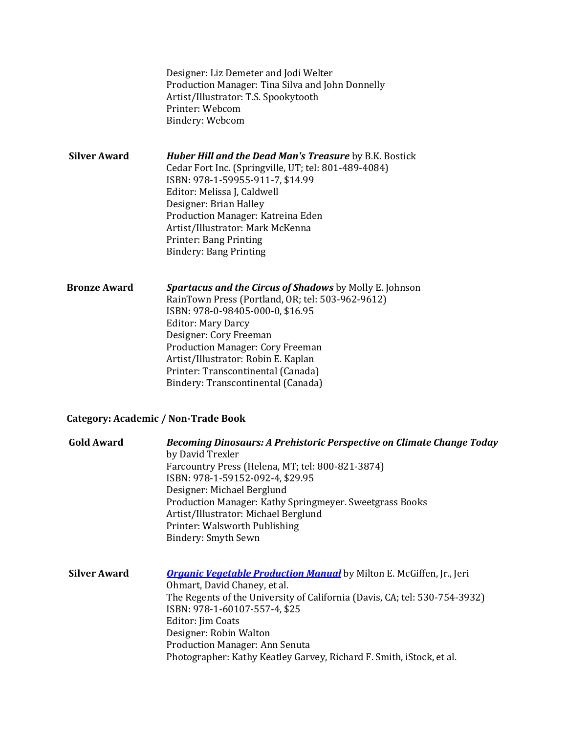|                     | Designer: Liz Demeter and Jodi Welter<br>Production Manager: Tina Silva and John Donnelly<br>Artist/Illustrator: T.S. Spookytooth<br>Printer: Webcom<br>Bindery: Webcom                                                                                                                                                                                                     |
|---------------------|-----------------------------------------------------------------------------------------------------------------------------------------------------------------------------------------------------------------------------------------------------------------------------------------------------------------------------------------------------------------------------|
| <b>Silver Award</b> | <b>Huber Hill and the Dead Man's Treasure by B.K. Bostick</b><br>Cedar Fort Inc. (Springville, UT; tel: 801-489-4084)<br>ISBN: 978-1-59955-911-7, \$14.99<br>Editor: Melissa J, Caldwell<br>Designer: Brian Halley<br>Production Manager: Katreina Eden<br>Artist/Illustrator: Mark McKenna<br>Printer: Bang Printing<br><b>Bindery: Bang Printing</b>                      |
| <b>Bronze Award</b> | <b>Spartacus and the Circus of Shadows</b> by Molly E. Johnson<br>RainTown Press (Portland, OR; tel: 503-962-9612)<br>ISBN: 978-0-98405-000-0, \$16.95<br><b>Editor: Mary Darcy</b><br>Designer: Cory Freeman<br><b>Production Manager: Cory Freeman</b><br>Artist/Illustrator: Robin E. Kaplan<br>Printer: Transcontinental (Canada)<br>Bindery: Transcontinental (Canada) |

# **Category: Academic / Non-Trade Book**

| <b>Gold Award</b>   | Becoming Dinosaurs: A Prehistoric Perspective on Climate Change Today       |  |  |
|---------------------|-----------------------------------------------------------------------------|--|--|
|                     | by David Trexler                                                            |  |  |
|                     | Farcountry Press (Helena, MT; tel: 800-821-3874)                            |  |  |
|                     | ISBN: 978-1-59152-092-4, \$29.95                                            |  |  |
|                     | Designer: Michael Berglund                                                  |  |  |
|                     | Production Manager: Kathy Springmeyer. Sweetgrass Books                     |  |  |
|                     | Artist/Illustrator: Michael Berglund                                        |  |  |
|                     | Printer: Walsworth Publishing                                               |  |  |
|                     | Bindery: Smyth Sewn                                                         |  |  |
|                     |                                                                             |  |  |
| <b>Silver Award</b> | <b>Organic Vegetable Production Manual</b> by Milton E. McGiffen, Jr., Jeri |  |  |
|                     | Ohmart, David Chaney, et al.                                                |  |  |
|                     | The Regents of the University of California (Davis, CA; tel: 530-754-3932)  |  |  |
|                     | ISBN: 978-1-60107-557-4, \$25                                               |  |  |
|                     | Editor: Jim Coats                                                           |  |  |
|                     | Designer: Robin Walton                                                      |  |  |
|                     | <b>Production Manager: Ann Senuta</b>                                       |  |  |
|                     | Photographer: Kathy Keatley Garvey, Richard F. Smith, iStock, et al.        |  |  |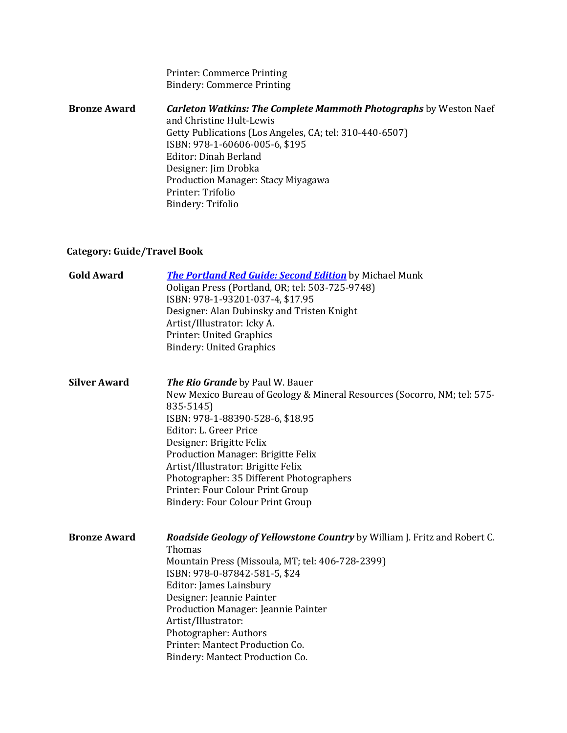Printer: Commerce Printing Bindery: Commerce Printing

**Bronze Award** *Carleton Watkins: The Complete Mammoth Photographs* by Weston Naef and Christine Hult-Lewis Getty Publications (Los Angeles, CA; tel: 310-440-6507) ISBN: 978-1-60606-005-6, \$195 Editor: Dinah Berland Designer: Jim Drobka Production Manager: Stacy Miyagawa Printer: Trifolio Bindery: Trifolio

## **Category: Guide/Travel Book**

| <b>Gold Award</b>   | <b>The Portland Red Guide: Second Edition</b> by Michael Munk<br>Ooligan Press (Portland, OR; tel: 503-725-9748)<br>ISBN: 978-1-93201-037-4, \$17.95<br>Designer: Alan Dubinsky and Tristen Knight<br>Artist/Illustrator: Icky A.<br>Printer: United Graphics<br><b>Bindery: United Graphics</b>                                                                                                                                 |
|---------------------|----------------------------------------------------------------------------------------------------------------------------------------------------------------------------------------------------------------------------------------------------------------------------------------------------------------------------------------------------------------------------------------------------------------------------------|
| <b>Silver Award</b> | <b>The Rio Grande</b> by Paul W. Bauer<br>New Mexico Bureau of Geology & Mineral Resources (Socorro, NM; tel: 575-<br>835-5145)<br>ISBN: 978-1-88390-528-6, \$18.95<br>Editor: L. Greer Price<br>Designer: Brigitte Felix<br>Production Manager: Brigitte Felix<br>Artist/Illustrator: Brigitte Felix<br>Photographer: 35 Different Photographers<br>Printer: Four Colour Print Group<br><b>Bindery: Four Colour Print Group</b> |
| <b>Bronze Award</b> | Roadside Geology of Yellowstone Country by William J. Fritz and Robert C.<br>Thomas<br>Mountain Press (Missoula, MT; tel: 406-728-2399)<br>ISBN: 978-0-87842-581-5, \$24<br>Editor: James Lainsbury<br>Designer: Jeannie Painter<br>Production Manager: Jeannie Painter<br>Artist/Illustrator:<br>Photographer: Authors<br>Printer: Mantect Production Co.<br>Bindery: Mantect Production Co.                                    |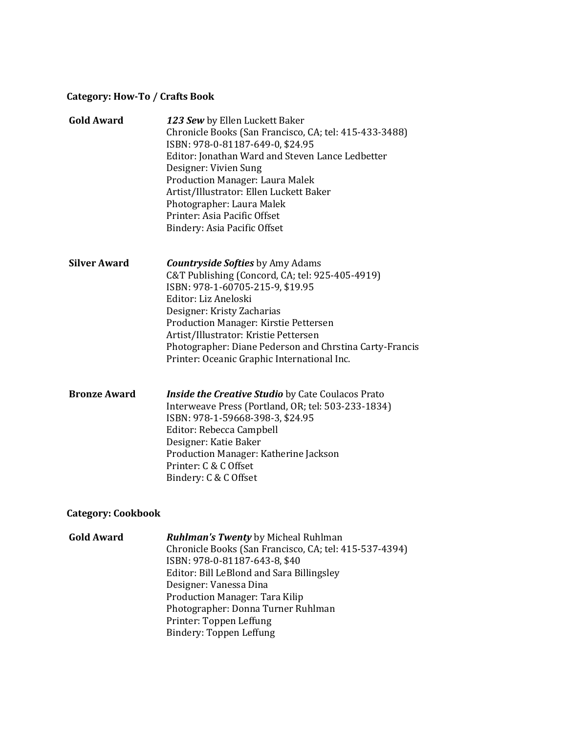#### **Category: How-To / Crafts Book**

| <b>Gold Award</b>   | 123 Sew by Ellen Luckett Baker<br>Chronicle Books (San Francisco, CA; tel: 415-433-3488)<br>ISBN: 978-0-81187-649-0, \$24.95<br>Editor: Jonathan Ward and Steven Lance Ledbetter<br>Designer: Vivien Sung<br><b>Production Manager: Laura Malek</b><br>Artist/Illustrator: Ellen Luckett Baker<br>Photographer: Laura Malek<br>Printer: Asia Pacific Offset<br>Bindery: Asia Pacific Offset |
|---------------------|---------------------------------------------------------------------------------------------------------------------------------------------------------------------------------------------------------------------------------------------------------------------------------------------------------------------------------------------------------------------------------------------|
| <b>Silver Award</b> | <b>Countryside Softies</b> by Amy Adams<br>C&T Publishing (Concord, CA; tel: 925-405-4919)<br>ISBN: 978-1-60705-215-9, \$19.95<br>Editor: Liz Aneloski<br>Designer: Kristy Zacharias<br>Production Manager: Kirstie Pettersen<br>Artist/Illustrator: Kristie Pettersen<br>Photographer: Diane Pederson and Chrstina Carty-Francis<br>Printer: Oceanic Graphic International Inc.            |
| <b>Bronze Award</b> | <b>Inside the Creative Studio</b> by Cate Coulacos Prato<br>Interweave Press (Portland, OR; tel: 503-233-1834)<br>ISBN: 978-1-59668-398-3, \$24.95<br>Editor: Rebecca Campbell<br>Designer: Katie Baker<br>Production Manager: Katherine Jackson<br>Printer: C & C Offset<br>Bindery: C & C Offset                                                                                          |

## **Category: Cookbook**

**Gold Award** *Ruhlman's Twenty* by Micheal Ruhlman Chronicle Books (San Francisco, CA; tel: 415-537-4394) ISBN: 978-0-81187-643-8, \$40 Editor: Bill LeBlond and Sara Billingsley Designer: Vanessa Dina Production Manager: Tara Kilip Photographer: Donna Turner Ruhlman Printer: Toppen Leffung Bindery: Toppen Leffung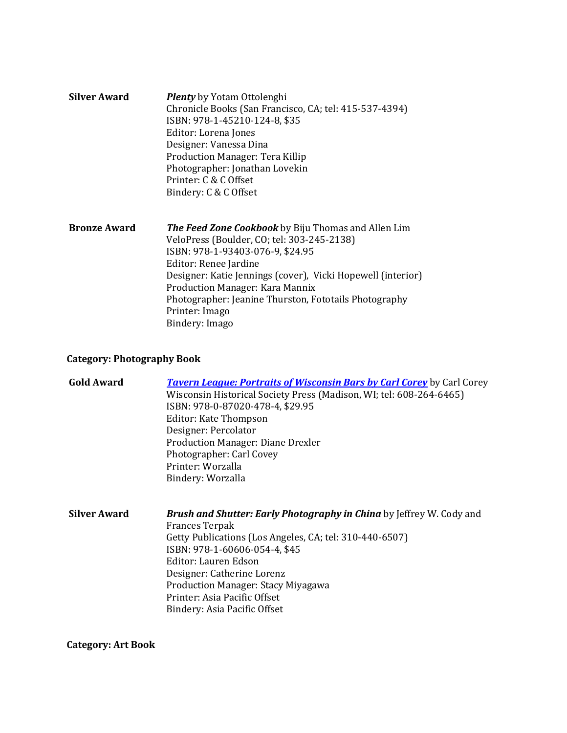| <b>Silver Award</b> | <b>Plenty</b> by Yotam Ottolenghi<br>Chronicle Books (San Francisco, CA; tel: 415-537-4394)<br>ISBN: 978-1-45210-124-8, \$35<br>Editor: Lorena Jones<br>Designer: Vanessa Dina<br>Production Manager: Tera Killip<br>Photographer: Jonathan Lovekin<br>Printer: C & C Offset<br>Bindery: C & C Offset |
|---------------------|-------------------------------------------------------------------------------------------------------------------------------------------------------------------------------------------------------------------------------------------------------------------------------------------------------|
| <b>Bronze Award</b> | <b>The Feed Zone Cookbook</b> by Biju Thomas and Allen Lim<br>VeloPress (Boulder, CO; tel: 303-245-2138)<br>ISBN: 978-1-93403-076-9, \$24.95<br>Editor: Renee Jardine<br>Designer: Katie Jennings (cover), Vicki Hopewell (interior)<br>Draduction Managan, Vara Manniv                               |

Production Manager: Kara Mannix Photographer: Jeanine Thurston, Fototails Photography Printer: Imago Bindery: Imago

## **Category: Photography Book**

| <b>Tavern League: Portraits of Wisconsin Bars by Carl Corey</b> by Carl Corey |
|-------------------------------------------------------------------------------|
| Wisconsin Historical Society Press (Madison, WI; tel: 608-264-6465)           |
| ISBN: 978-0-87020-478-4, \$29.95                                              |
| Editor: Kate Thompson                                                         |
| Designer: Percolator                                                          |
| <b>Production Manager: Diane Drexler</b>                                      |
| Photographer: Carl Covey                                                      |
| Printer: Worzalla                                                             |
| Bindery: Worzalla                                                             |
|                                                                               |
|                                                                               |

**Silver Award** *Brush and Shutter: Early Photography in China* by Jeffrey W. Cody and Frances Terpak Getty Publications (Los Angeles, CA; tel: 310-440-6507) ISBN: 978-1-60606-054-4, \$45 Editor: Lauren Edson Designer: Catherine Lorenz Production Manager: Stacy Miyagawa Printer: Asia Pacific Offset Bindery: Asia Pacific Offset

**Category: Art Book**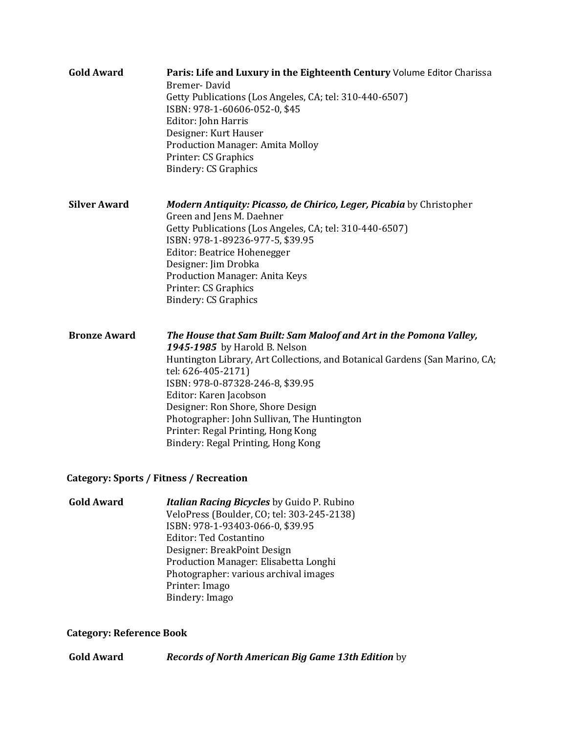| <b>Gold Award</b>                       | Paris: Life and Luxury in the Eighteenth Century Volume Editor Charissa<br>Bremer-David<br>Getty Publications (Los Angeles, CA; tel: 310-440-6507)<br>ISBN: 978-1-60606-052-0, \$45<br>Editor: John Harris<br>Designer: Kurt Hauser<br>Production Manager: Amita Molloy<br>Printer: CS Graphics<br><b>Bindery: CS Graphics</b>                                                                                                         |
|-----------------------------------------|----------------------------------------------------------------------------------------------------------------------------------------------------------------------------------------------------------------------------------------------------------------------------------------------------------------------------------------------------------------------------------------------------------------------------------------|
| <b>Silver Award</b>                     | Modern Antiquity: Picasso, de Chirico, Leger, Picabia by Christopher<br>Green and Jens M. Daehner<br>Getty Publications (Los Angeles, CA; tel: 310-440-6507)<br>ISBN: 978-1-89236-977-5, \$39.95<br>Editor: Beatrice Hohenegger<br>Designer: Jim Drobka<br>Production Manager: Anita Keys<br>Printer: CS Graphics<br><b>Bindery: CS Graphics</b>                                                                                       |
| <b>Bronze Award</b>                     | The House that Sam Built: Sam Maloof and Art in the Pomona Valley,<br>1945-1985 by Harold B. Nelson<br>Huntington Library, Art Collections, and Botanical Gardens (San Marino, CA;<br>tel: 626-405-2171)<br>ISBN: 978-0-87328-246-8, \$39.95<br>Editor: Karen Jacobson<br>Designer: Ron Shore, Shore Design<br>Photographer: John Sullivan, The Huntington<br>Printer: Regal Printing, Hong Kong<br>Bindery: Regal Printing, Hong Kong |
| Category: Sports / Fitness / Recreation |                                                                                                                                                                                                                                                                                                                                                                                                                                        |

**Gold Award** *Italian Racing Bicycles* by Guido P. Rubino VeloPress (Boulder, CO; tel: 303-245-2138) ISBN: 978-1-93403-066-0, \$39.95 Editor: Ted Costantino Designer: BreakPoint Design Production Manager: Elisabetta Longhi Photographer: various archival images Printer: Imago Bindery: Imago

# **Category: Reference Book**

**Gold Award** *Records of North American Big Game 13th Edition* by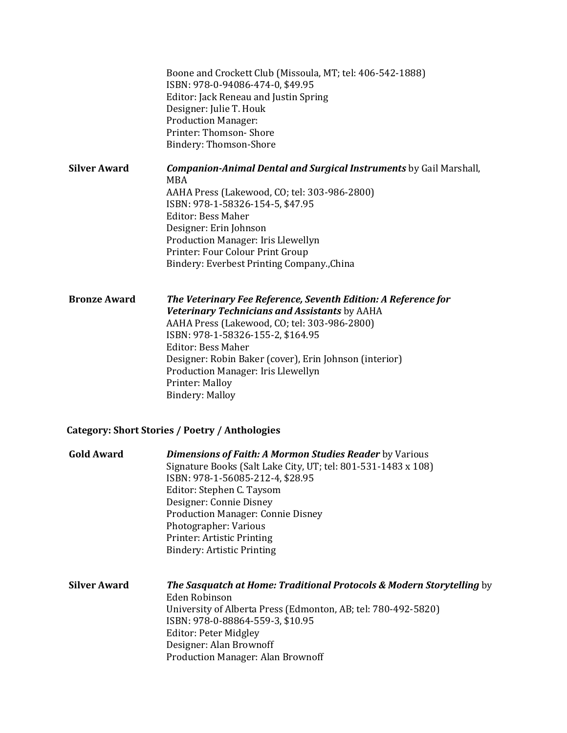|                     | Boone and Crockett Club (Missoula, MT; tel: 406-542-1888)<br>ISBN: 978-0-94086-474-0, \$49.95<br>Editor: Jack Reneau and Justin Spring<br>Designer: Julie T. Houk<br><b>Production Manager:</b><br>Printer: Thomson-Shore<br>Bindery: Thomson-Shore                                                                                                                            |
|---------------------|--------------------------------------------------------------------------------------------------------------------------------------------------------------------------------------------------------------------------------------------------------------------------------------------------------------------------------------------------------------------------------|
| <b>Silver Award</b> | <b>Companion-Animal Dental and Surgical Instruments</b> by Gail Marshall,<br><b>MBA</b><br>AAHA Press (Lakewood, CO; tel: 303-986-2800)<br>ISBN: 978-1-58326-154-5, \$47.95<br><b>Editor: Bess Maher</b><br>Designer: Erin Johnson<br>Production Manager: Iris Llewellyn<br>Printer: Four Colour Print Group<br>Bindery: Everbest Printing Company., China                     |
| <b>Bronze Award</b> | The Veterinary Fee Reference, Seventh Edition: A Reference for<br>Veterinary Technicians and Assistants by AAHA<br>AAHA Press (Lakewood, CO; tel: 303-986-2800)<br>ISBN: 978-1-58326-155-2, \$164.95<br><b>Editor: Bess Maher</b><br>Designer: Robin Baker (cover), Erin Johnson (interior)<br>Production Manager: Iris Llewellyn<br>Printer: Malloy<br><b>Bindery: Malloy</b> |
|                     | <b>Category: Short Stories / Poetry / Anthologies</b>                                                                                                                                                                                                                                                                                                                          |
| <b>Gold Award</b>   | <b>Dimensions of Faith: A Mormon Studies Reader by Various</b><br>Signature Books (Salt Lake City, UT; tel: 801-531-1483 x 108)<br>ISBN: 978-1-56085-212-4, \$28.95<br>Editor: Stephen C. Taysom<br>Designer: Connie Disney<br><b>Production Manager: Connie Disney</b><br>Photographer: Various                                                                               |

**Silver Award** *The Sasquatch at Home: Traditional Protocols & Modern Storytelling* by Eden Robinson University of Alberta Press (Edmonton, AB; tel: 780-492-5820) ISBN: 978-0-88864-559-3, \$10.95 Editor: Peter Midgley Designer: Alan Brownoff Production Manager: Alan Brownoff

Printer: Artistic Printing Bindery: Artistic Printing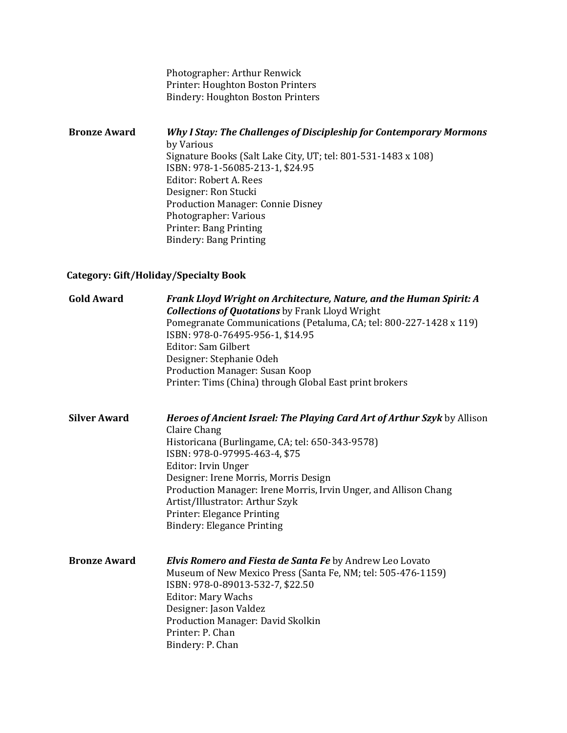Photographer: Arthur Renwick Printer: Houghton Boston Printers Bindery: Houghton Boston Printers

**Bronze Award** *Why I Stay: The Challenges of Discipleship for Contemporary Mormons* by Various Signature Books (Salt Lake City, UT; tel: 801-531-1483 x 108) ISBN: 978-1-56085-213-1, \$24.95 Editor: Robert A. Rees Designer: Ron Stucki Production Manager: Connie Disney Photographer: Various Printer: Bang Printing Bindery: Bang Printing

### **Category: Gift/Holiday/Specialty Book**

| <b>Gold Award</b>   | <b>Frank Lloyd Wright on Architecture, Nature, and the Human Spirit: A</b><br><b>Collections of Quotations</b> by Frank Lloyd Wright<br>Pomegranate Communications (Petaluma, CA; tel: 800-227-1428 x 119)<br>ISBN: 978-0-76495-956-1, \$14.95<br>Editor: Sam Gilbert<br>Designer: Stephanie Odeh<br>Production Manager: Susan Koop<br>Printer: Tims (China) through Global East print brokers                         |
|---------------------|------------------------------------------------------------------------------------------------------------------------------------------------------------------------------------------------------------------------------------------------------------------------------------------------------------------------------------------------------------------------------------------------------------------------|
| <b>Silver Award</b> | Heroes of Ancient Israel: The Playing Card Art of Arthur Szyk by Allison<br>Claire Chang<br>Historicana (Burlingame, CA; tel: 650-343-9578)<br>ISBN: 978-0-97995-463-4, \$75<br>Editor: Irvin Unger<br>Designer: Irene Morris, Morris Design<br>Production Manager: Irene Morris, Irvin Unger, and Allison Chang<br>Artist/Illustrator: Arthur Szyk<br>Printer: Elegance Printing<br><b>Bindery: Elegance Printing</b> |
| <b>Bronze Award</b> | <b>Elvis Romero and Fiesta de Santa Fe by Andrew Leo Lovato</b><br>Museum of New Mexico Press (Santa Fe, NM; tel: 505-476-1159)<br>ISBN: 978-0-89013-532-7, \$22.50<br><b>Editor: Mary Wachs</b><br>Designer: Jason Valdez<br>Production Manager: David Skolkin<br>Printer: P. Chan<br>Bindery: P. Chan                                                                                                                |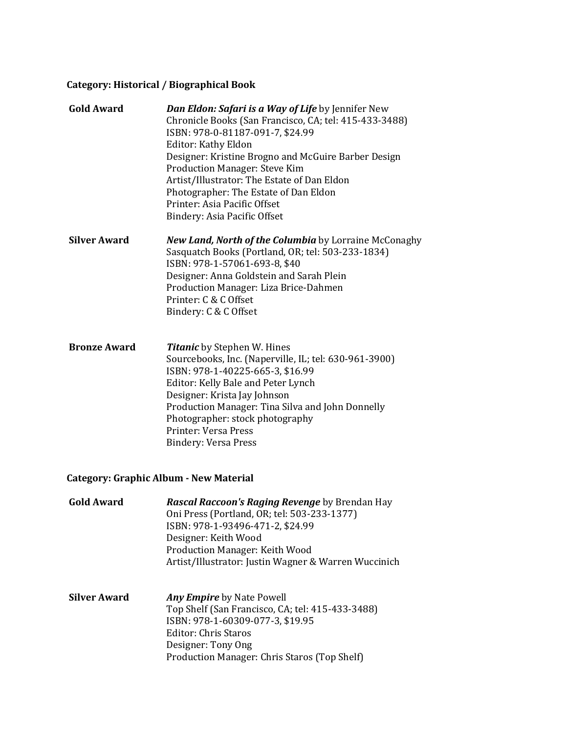# **Category: Historical / Biographical Book**

| <b>Gold Award</b>   | <b>Dan Eldon: Safari is a Way of Life by Jennifer New</b><br>Chronicle Books (San Francisco, CA; tel: 415-433-3488)<br>ISBN: 978-0-81187-091-7, \$24.99<br><b>Editor: Kathy Eldon</b><br>Designer: Kristine Brogno and McGuire Barber Design<br><b>Production Manager: Steve Kim</b><br>Artist/Illustrator: The Estate of Dan Eldon<br>Photographer: The Estate of Dan Eldon<br>Printer: Asia Pacific Offset<br>Bindery: Asia Pacific Offset |
|---------------------|----------------------------------------------------------------------------------------------------------------------------------------------------------------------------------------------------------------------------------------------------------------------------------------------------------------------------------------------------------------------------------------------------------------------------------------------|
| <b>Silver Award</b> | <b>New Land, North of the Columbia</b> by Lorraine McConaghy<br>Sasquatch Books (Portland, OR; tel: 503-233-1834)<br>ISBN: 978-1-57061-693-8, \$40<br>Designer: Anna Goldstein and Sarah Plein<br>Production Manager: Liza Brice-Dahmen<br>Printer: C & C Offset<br>Bindery: C & C Offset                                                                                                                                                    |
| <b>Bronze Award</b> | <b>Titanic</b> by Stephen W. Hines<br>Sourcebooks, Inc. (Naperville, IL; tel: 630-961-3900)<br>ISBN: 978-1-40225-665-3, \$16.99<br>Editor: Kelly Bale and Peter Lynch<br>Designer: Krista Jay Johnson<br>Production Manager: Tina Silva and John Donnelly<br>Photographer: stock photography<br>Printer: Versa Press<br><b>Bindery: Versa Press</b>                                                                                          |

# **Category: Graphic Album - New Material**

| <b>Gold Award</b>   | <b>Rascal Raccoon's Raging Revenge</b> by Brendan Hay<br>Oni Press (Portland, OR; tel: 503-233-1377)<br>ISBN: 978-1-93496-471-2, \$24.99<br>Designer: Keith Wood<br>Production Manager: Keith Wood<br>Artist/Illustrator: Justin Wagner & Warren Wuccinich |
|---------------------|------------------------------------------------------------------------------------------------------------------------------------------------------------------------------------------------------------------------------------------------------------|
| <b>Silver Award</b> | <b>Any Empire</b> by Nate Powell<br>Top Shelf (San Francisco, CA; tel: 415-433-3488)<br>ISBN: 978-1-60309-077-3, \$19.95<br>Editor: Chris Staros<br>Designer: Tony Ong                                                                                     |

Production Manager: Chris Staros (Top Shelf)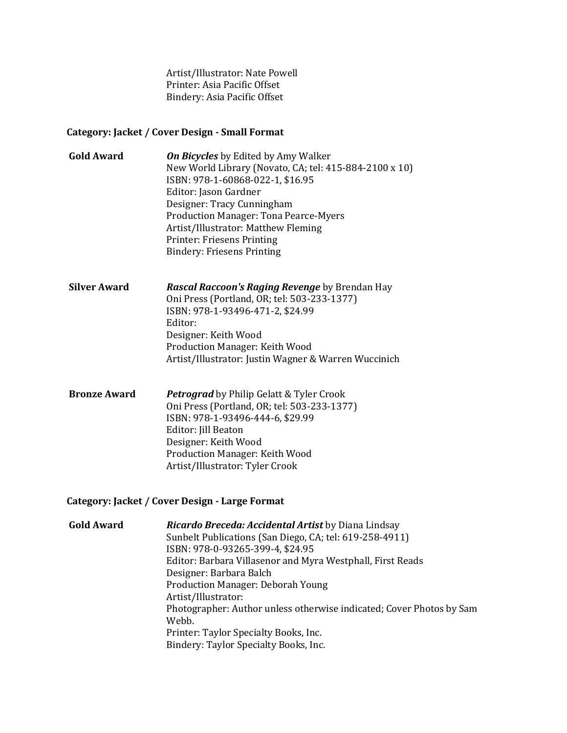Artist/Illustrator: Nate Powell Printer: Asia Pacific Offset Bindery: Asia Pacific Offset

### **Category: Jacket / Cover Design - Small Format**

| <b>Gold Award</b> | <b>On Bicycles</b> by Edited by Amy Walker             |
|-------------------|--------------------------------------------------------|
|                   | New World Library (Novato, CA; tel: 415-884-2100 x 10) |
|                   | ISBN: 978-1-60868-022-1, \$16.95                       |
|                   | Editor: Jason Gardner                                  |
|                   | Designer: Tracy Cunningham                             |
|                   | <b>Production Manager: Tona Pearce-Myers</b>           |
|                   | Artist/Illustrator: Matthew Fleming                    |
|                   | Printer: Friesens Printing                             |
|                   | <b>Bindery: Friesens Printing</b>                      |

**Silver Award** *Rascal Raccoon's Raging Revenge* by Brendan Hay Oni Press (Portland, OR; tel: 503-233-1377) ISBN: 978-1-93496-471-2, \$24.99 Editor: Designer: Keith Wood Production Manager: Keith Wood Artist/Illustrator: Justin Wagner & Warren Wuccinich

**Bronze Award** *Petrograd* by Philip Gelatt & Tyler Crook Oni Press (Portland, OR; tel: 503-233-1377) ISBN: 978-1-93496-444-6, \$29.99 Editor: Jill Beaton Designer: Keith Wood Production Manager: Keith Wood Artist/Illustrator: Tyler Crook

### **Category: Jacket / Cover Design - Large Format**

| <b>Gold Award</b> | <b>Ricardo Breceda: Accidental Artist</b> by Diana Lindsay           |
|-------------------|----------------------------------------------------------------------|
|                   | Sunbelt Publications (San Diego, CA; tel: 619-258-4911)              |
|                   | ISBN: 978-0-93265-399-4, \$24.95                                     |
|                   | Editor: Barbara Villasenor and Myra Westphall, First Reads           |
|                   | Designer: Barbara Balch                                              |
|                   | Production Manager: Deborah Young                                    |
|                   | Artist/Illustrator:                                                  |
|                   | Photographer: Author unless otherwise indicated; Cover Photos by Sam |
|                   | Webb.                                                                |
|                   | Printer: Taylor Specialty Books, Inc.                                |
|                   | Bindery: Taylor Specialty Books, Inc.                                |
|                   |                                                                      |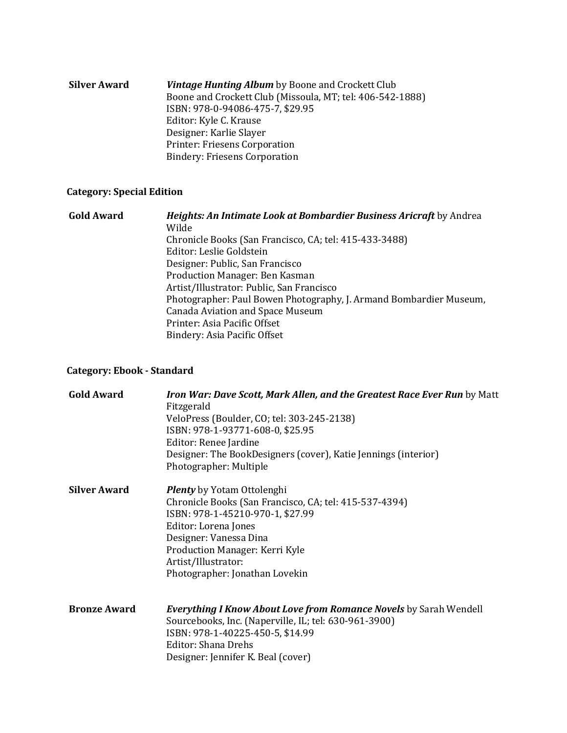| Silver Award | <b>Vintage Hunting Album</b> by Boone and Crockett Club   |
|--------------|-----------------------------------------------------------|
|              | Boone and Crockett Club (Missoula, MT; tel: 406-542-1888) |
|              | ISBN: 978-0-94086-475-7, \$29.95                          |
|              | Editor: Kyle C. Krause                                    |
|              | Designer: Karlie Slayer                                   |
|              | Printer: Friesens Corporation                             |
|              | <b>Bindery: Friesens Corporation</b>                      |
|              |                                                           |

# **Category: Special Edition**

| <b>Gold Award</b> | Heights: An Intimate Look at Bombardier Business Aricraft by Andrea |
|-------------------|---------------------------------------------------------------------|
|                   | Wilde                                                               |
|                   | Chronicle Books (San Francisco, CA; tel: 415-433-3488)              |
|                   | Editor: Leslie Goldstein                                            |
|                   | Designer: Public, San Francisco                                     |
|                   | Production Manager: Ben Kasman                                      |
|                   | Artist/Illustrator: Public, San Francisco                           |
|                   | Photographer: Paul Bowen Photography, J. Armand Bombardier Museum,  |
|                   | Canada Aviation and Space Museum                                    |
|                   | Printer: Asia Pacific Offset                                        |
|                   | Bindery: Asia Pacific Offset                                        |

# **Category: Ebook - Standard**

| <b>Gold Award</b>   | Iron War: Dave Scott, Mark Allen, and the Greatest Race Ever Run by Matt<br>Fitzgerald<br>VeloPress (Boulder, CO; tel: 303-245-2138)<br>ISBN: 978-1-93771-608-0, \$25.95<br>Editor: Renee Jardine<br>Designer: The BookDesigners (cover), Katie Jennings (interior)<br>Photographer: Multiple |
|---------------------|-----------------------------------------------------------------------------------------------------------------------------------------------------------------------------------------------------------------------------------------------------------------------------------------------|
| <b>Silver Award</b> | <b>Plenty</b> by Yotam Ottolenghi<br>Chronicle Books (San Francisco, CA; tel: 415-537-4394)<br>ISBN: 978-1-45210-970-1, \$27.99<br>Editor: Lorena Jones<br>Designer: Vanessa Dina<br>Production Manager: Kerri Kyle<br>Artist/Illustrator:<br>Photographer: Jonathan Lovekin                  |
| <b>Bronze Award</b> | <b>Everything I Know About Love from Romance Novels</b> by Sarah Wendell<br>Sourcebooks, Inc. (Naperville, IL; tel: 630-961-3900)<br>ISBN: 978-1-40225-450-5, \$14.99<br>Editor: Shana Drehs<br>Designer: Jennifer K. Beal (cover)                                                            |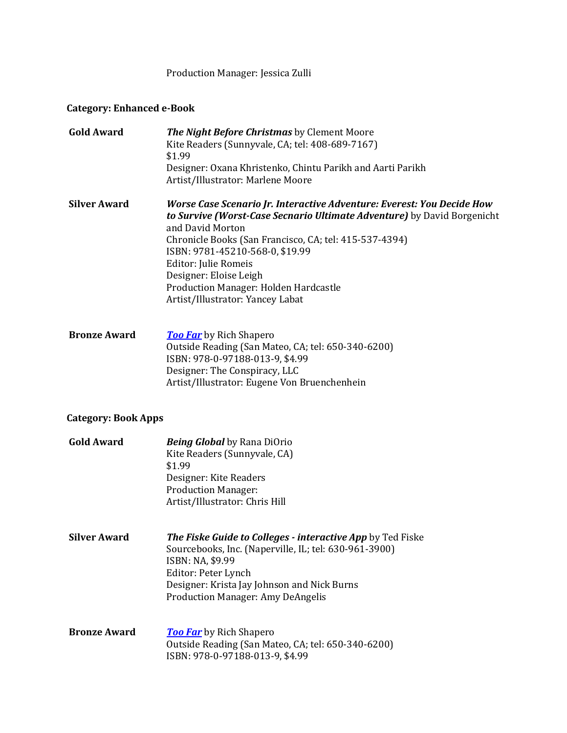Production Manager: Jessica Zulli

# **Category: Enhanced e-Book**

| <b>Gold Award</b>          | The Night Before Christmas by Clement Moore<br>Kite Readers (Sunnyvale, CA; tel: 408-689-7167)<br>\$1.99<br>Designer: Oxana Khristenko, Chintu Parikh and Aarti Parikh<br>Artist/Illustrator: Marlene Moore                                                                                                                                                                                       |
|----------------------------|---------------------------------------------------------------------------------------------------------------------------------------------------------------------------------------------------------------------------------------------------------------------------------------------------------------------------------------------------------------------------------------------------|
| <b>Silver Award</b>        | Worse Case Scenario Jr. Interactive Adventure: Everest: You Decide How<br>to Survive (Worst-Case Secnario Ultimate Adventure) by David Borgenicht<br>and David Morton<br>Chronicle Books (San Francisco, CA; tel: 415-537-4394)<br>ISBN: 9781-45210-568-0, \$19.99<br>Editor: Julie Romeis<br>Designer: Eloise Leigh<br>Production Manager: Holden Hardcastle<br>Artist/Illustrator: Yancey Labat |
| <b>Bronze Award</b>        | <b>Too Far</b> by Rich Shapero<br>Outside Reading (San Mateo, CA; tel: 650-340-6200)<br>ISBN: 978-0-97188-013-9, \$4.99<br>Designer: The Conspiracy, LLC<br>Artist/Illustrator: Eugene Von Bruenchenhein                                                                                                                                                                                          |
| <b>Category: Book Apps</b> |                                                                                                                                                                                                                                                                                                                                                                                                   |
| <b>Gold Award</b>          | <b>Being Global</b> by Rana DiOrio<br>Kite Readers (Sunnyvale, CA)<br>\$1.99<br>Designer: Kite Readers<br><b>Production Manager:</b><br>Artist/Illustrator: Chris Hill                                                                                                                                                                                                                            |
| <b>Silver Award</b>        | The Fiske Guide to Colleges - interactive App by Ted Fiske<br>Sourcebooks, Inc. (Naperville, IL; tel: 630-961-3900)<br>ISBN: NA, \$9.99<br>Editor: Peter Lynch<br>Designer: Krista Jay Johnson and Nick Burns<br><b>Production Manager: Amy DeAngelis</b>                                                                                                                                         |
| <b>Bronze Award</b>        | <b>Too Far</b> by Rich Shapero<br>Outside Reading (San Mateo, CA; tel: 650-340-6200)<br>ISBN: 978-0-97188-013-9, \$4.99                                                                                                                                                                                                                                                                           |